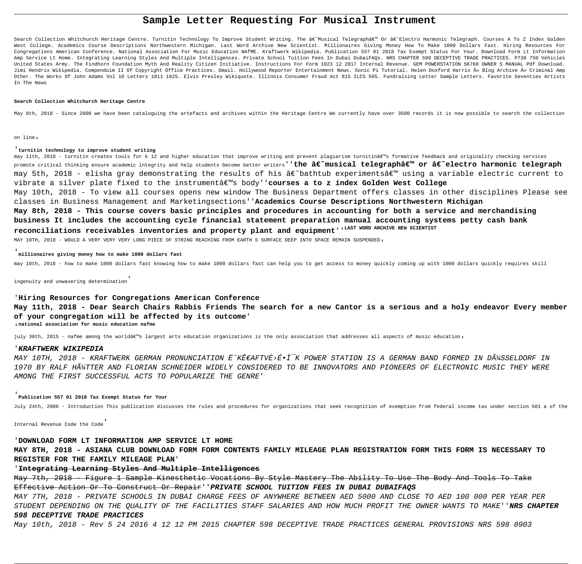# **Sample Letter Requesting For Musical Instrument**

Search Collection Whitchurch Heritage Centre. Turnitin Technology To Improve Student Writing. The â€~Musical Telegraph' Or â€~Electro Harmonic Telegraph. Courses A To Z Index Golden West College. Academics Course Descriptions Northwestern Michigan. Last Word Archive New Scientist. Millionaires Giving Money How To Make 1000 Dollars Fast. Hiring Resources For Congregations American Conference. National Association For Music Education NAfME. Kraftwerk Wikipedia. Publication 557 01 2018 Tax Exempt Status For Your. Download Form Lt Information Amp Service Lt Home. Integrating Learning Styles And Multiple Intelligences. Private School Tuition Fees In Dubai DubaiFAQs. NRS CHAPTER 598 DECEPTIVE TRADE PRACTICES. P738 750 Vehicles United States Army. The Findhorn Foundation Myth And Reality Citizen Initiative. Instructions For Form 1023 12 2017 Internal Revenue. GEM POWERSTATION SK760 OWNER S MANUAL Pdf Download. Jimi Hendrix Wikipedia. Compenduim II Of Copyright Office Practices. Gmail. Hollywood Reporter Entertainment News. Sonic Pi Tutorial. Helen Doxford Harris » Blog Archive » Criminal Amp Other. The Works Of John Adams Vol 10 Letters 1811 1825. Elvis Presley Wikiquote. Illinois Consumer Fraud Act 815 ILCS 505. Fundraising Letter Sample Letters. Favorite Seventies Artists In The News

#### **Search Collection Whitchurch Heritage Centre**

May 8th, 2018 - Since 2008 we have been cataloguing the artefacts and archives within the Heritage Centre We currently have over 3500 records it is now possible to search the collection

may 11th, 2018 - turnitin creates tools for k 12 and higher education that improve writing and prevent plagiarism turnitin's formative feedback and originality checking services promote critical thinking ensure academic integrity and help students become better writers''**the â€~musical telegraph' or â€~electro harmonic telegraph** may 5th, 2018 - elisha gray demonstrating the results of his â€~bathtub experiments' using a variable electric current to vibrate a silver plate fixed to the instrumentâ€<sup>m</sup>s body''**courses a to z index Golden West College** May 10th, 2018 - To view all courses opens new window The Business Department offers classes in other disciplines Please see classes in Business Management and Marketingsections''**Academics Course Descriptions Northwestern Michigan May 8th, 2018 - This course covers basic principles and procedures in accounting for both a service and merchandising business It includes the accounting cycle financial statement preparation manual accounting systems petty cash bank reconciliations receivables inventories and property plant and equipment**''**LAST WORD ARCHIVE NEW SCIENTIST**

MAY 10TH, 2018 - WOULD A VERY VERY VERY LONG PIECE OF STRING REACHING FROM EARTH S SURFACE DEEP INTO SPACE REMAIN SUSPENDED,

on line'

#### '**turnitin technology to improve student writing**

MAY 10TH, 2018 - KRAFTWERK GERMAN PRONUNCIATION Ë^KÊ€AFTVÉ>É•Ì<sup>−</sup>K POWER STATION IS A GERMAN BAND FORMED IN DüSSELDORF IN 1970 BY RALF HüTTER AND FLORIAN SCHNEIDER WIDELY CONSIDERED TO BE INNOVATORS AND PIONEERS OF ELECTRONIC MUSIC THEY WERE AMONG THE FIRST SUCCESSFUL ACTS TO POPULARIZE THE GENRE'

May 7th, 2018 - Figure 1 Sample Kinesthetic Vocations By Style Mastery The Ability To Use The Body And Tools To Take Effective Action Or To Construct Or Repair''**PRIVATE SCHOOL TUITION FEES IN DUBAI DUBAIFAQS**

#### '**millionaires giving money how to make 1000 dollars fast**

may 10th, 2018 - how to make 1000 dollars fast knowing how to make 1000 dollars fast can help you to get access to money quickly coming up with 1000 dollars quickly requires skill

ingenuity and unwavering determination'

# '**Hiring Resources for Congregations American Conference May 11th, 2018 - Dear Search Chairs Rabbis Friends The search for a new Cantor is a serious and a holy endeavor Every member of your congregation will be affected by its outcome**' '**national association for music education nafme**

july 30th, 2015 - nafme among the worldâ $\varepsilon_{\mathbb{M}}$ s largest arts education organizations is the only association that addresses all aspects of music education,

#### '**KRAFTWERK WIKIPEDIA**

'**Publication 557 01 2018 Tax Exempt Status for Your**

July 24th, 2006 - Introduction This publication discusses the rules and procedures for organizations that seek recognition of exemption from federal income tax under section 501 a of the

Internal Revenue Code the Code'

#### '**DOWNLOAD FORM LT INFORMATION AMP SERVICE LT HOME**

**MAY 8TH, 2018 - ASIANA CLUB DOWNLOAD FORM FORM CONTENTS FAMILY MILEAGE PLAN REGISTRATION FORM THIS FORM IS NECESSARY TO REGISTER FOR THE FAMILY MILEAGE PLAN**'

### '**Integrating Learning Styles And Multiple Intelligences**

MAY 7TH, 2018 - PRIVATE SCHOOLS IN DUBAI CHARGE FEES OF ANYWHERE BETWEEN AED 5000 AND CLOSE TO AED 100 000 PER YEAR PER STUDENT DEPENDING ON THE QUALITY OF THE FACILITIES STAFF SALARIES AND HOW MUCH PROFIT THE OWNER WANTS TO MAKE''**NRS CHAPTER 598 DECEPTIVE TRADE PRACTICES**

May 10th, 2018 - Rev 5 24 2016 4 12 12 PM 2015 CHAPTER 598 DECEPTIVE TRADE PRACTICES GENERAL PROVISIONS NRS 598 0903